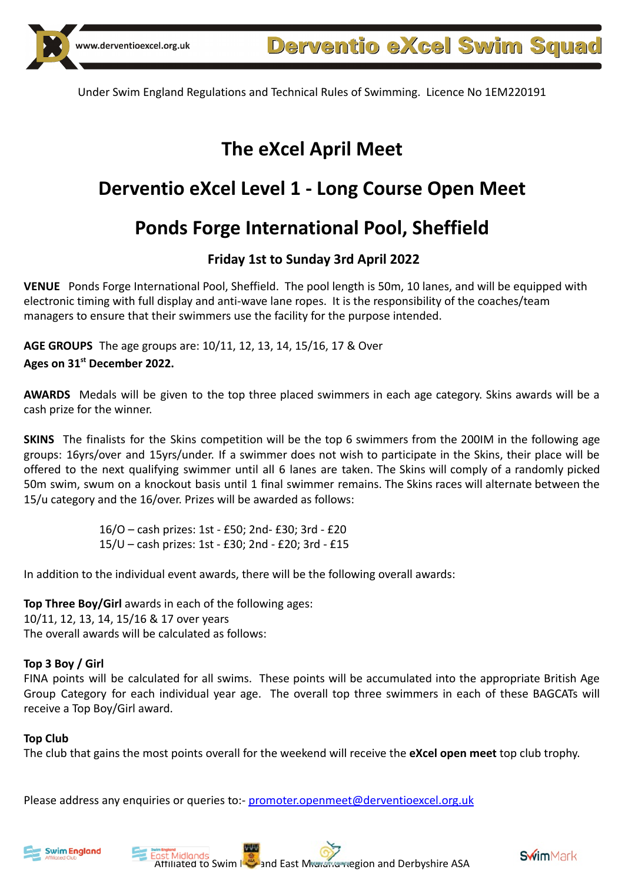# **The eXcel April Meet**

# **Derventio eXcel Level 1 - Long Course Open Meet**

# **Ponds Forge International Pool, Sheffield**

# **Friday 1st to Sunday 3rd April 2022**

**VENUE** Ponds Forge International Pool, Sheffield. The pool length is 50m, 10 lanes, and will be equipped with electronic timing with full display and anti-wave lane ropes. It is the responsibility of the coaches/team managers to ensure that their swimmers use the facility for the purpose intended.

**AGE GROUPS** The age groups are: 10/11, 12, 13, 14, 15/16, 17 & Over **Ages on 31st December 2022.**

**AWARDS** Medals will be given to the top three placed swimmers in each age category. Skins awards will be a cash prize for the winner.

**SKINS** The finalists for the Skins competition will be the top 6 swimmers from the 200IM in the following age groups: 16yrs/over and 15yrs/under. If a swimmer does not wish to participate in the Skins, their place will be offered to the next qualifying swimmer until all 6 lanes are taken. The Skins will comply of a randomly picked 50m swim, swum on a knockout basis until 1 final swimmer remains. The Skins races will alternate between the 15/u category and the 16/over. Prizes will be awarded as follows:

> 16/O – cash prizes: 1st - £50; 2nd- £30; 3rd - £20 15/U – cash prizes: 1st - £30; 2nd - £20; 3rd - £15

In addition to the individual event awards, there will be the following overall awards:

**Top Three Boy/Girl** awards in each of the following ages: 10/11, 12, 13, 14, 15/16 & 17 over years The overall awards will be calculated as follows:

## **Top 3 Boy / Girl**

FINA points will be calculated for all swims. These points will be accumulated into the appropriate British Age Group Category for each individual year age. The overall top three swimmers in each of these BAGCATs will receive a Top Boy/Girl award.

### **Top Club**

The club that gains the most points overall for the weekend will receive the **eXcel open meet** top club trophy.

Please address any enquiries or queries to:- [promoter.openmeet@derventioexcel.org.uk](mailto:promoter.openmeet@derventioexcel.org.uk)







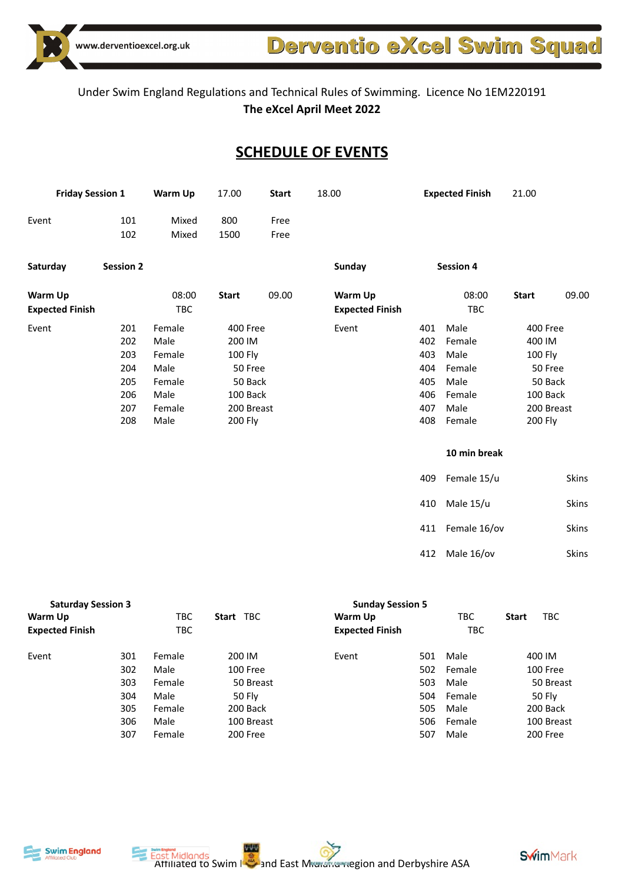

Derventio eXcel Swim Squad

# Under Swim England Regulations and Technical Rules of Swimming. Licence No 1EM220191 **The eXcel April Meet 2022**

# **SCHEDULE OF EVENTS**

| <b>Friday Session 1</b> |                  | <b>Warm Up</b><br>17.00<br><b>Start</b> |              | 18.00 |                        | <b>Expected Finish</b> | 21.00            |              |              |
|-------------------------|------------------|-----------------------------------------|--------------|-------|------------------------|------------------------|------------------|--------------|--------------|
| Event                   | 101              | Mixed                                   | 800          | Free  |                        |                        |                  |              |              |
|                         | 102              | Mixed                                   | 1500         | Free  |                        |                        |                  |              |              |
| Saturday                | <b>Session 2</b> |                                         |              |       | Sunday                 |                        | <b>Session 4</b> |              |              |
| Warm Up                 |                  | 08:00                                   | <b>Start</b> | 09.00 | Warm Up                |                        | 08:00            | <b>Start</b> | 09.00        |
| <b>Expected Finish</b>  |                  | TBC                                     |              |       | <b>Expected Finish</b> |                        | TBC              |              |              |
| Event                   | 201              | Female                                  | 400 Free     |       | Event                  | 401                    | Male             | 400 Free     |              |
|                         | 202              | Male                                    | 200 IM       |       |                        | 402                    | Female           | 400 IM       |              |
|                         | 203              | Female                                  | 100 Fly      |       |                        | 403                    | Male             | 100 Fly      |              |
|                         | 204              | Male                                    | 50 Free      |       |                        | 404                    | Female           | 50 Free      |              |
|                         | 205              | Female                                  | 50 Back      |       |                        | 405                    | Male             | 50 Back      |              |
|                         | 206              | Male                                    | 100 Back     |       |                        | 406                    | Female           | 100 Back     |              |
|                         | 207              | Female                                  | 200 Breast   |       |                        | 407                    | Male             |              | 200 Breast   |
|                         | 208              | Male                                    | 200 Fly      |       |                        | 408                    | Female           | 200 Fly      |              |
|                         |                  |                                         |              |       |                        |                        | 10 min break     |              |              |
|                         |                  |                                         |              |       |                        | 409                    | Female 15/u      |              | Skins        |
|                         |                  |                                         |              |       |                        | 410                    | Male 15/u        |              | Skins        |
|                         |                  |                                         |              |       |                        | 411                    | Female 16/ov     |              | Skins        |
|                         |                  |                                         |              |       |                        | 412                    | Male 16/ov       |              | <b>Skins</b> |

| <b>Saturday Session 3</b> |     | <b>Sunday Session 5</b> |            |                        |     |            |              |            |
|---------------------------|-----|-------------------------|------------|------------------------|-----|------------|--------------|------------|
| Warm Up                   |     | твс                     | Start TBC  | Warm Up                |     | TBC        | <b>Start</b> | <b>TBC</b> |
| <b>Expected Finish</b>    |     | <b>TBC</b>              |            | <b>Expected Finish</b> |     | <b>TBC</b> |              |            |
| Event                     | 301 | Female                  | 200 IM     | Event                  | 501 | Male       |              | 400 IM     |
|                           | 302 | Male                    | 100 Free   |                        | 502 | Female     |              | 100 Free   |
|                           | 303 | Female                  | 50 Breast  |                        | 503 | Male       |              | 50 Breast  |
|                           | 304 | Male                    | 50 Fly     |                        | 504 | Female     |              | 50 Fly     |
|                           | 305 | Female                  | 200 Back   |                        | 505 | Male       |              | 200 Back   |
|                           | 306 | Male                    | 100 Breast |                        | 506 | Female     |              | 100 Breast |
|                           | 307 | Female                  | 200 Free   |                        | 507 | Male       |              | 200 Free   |



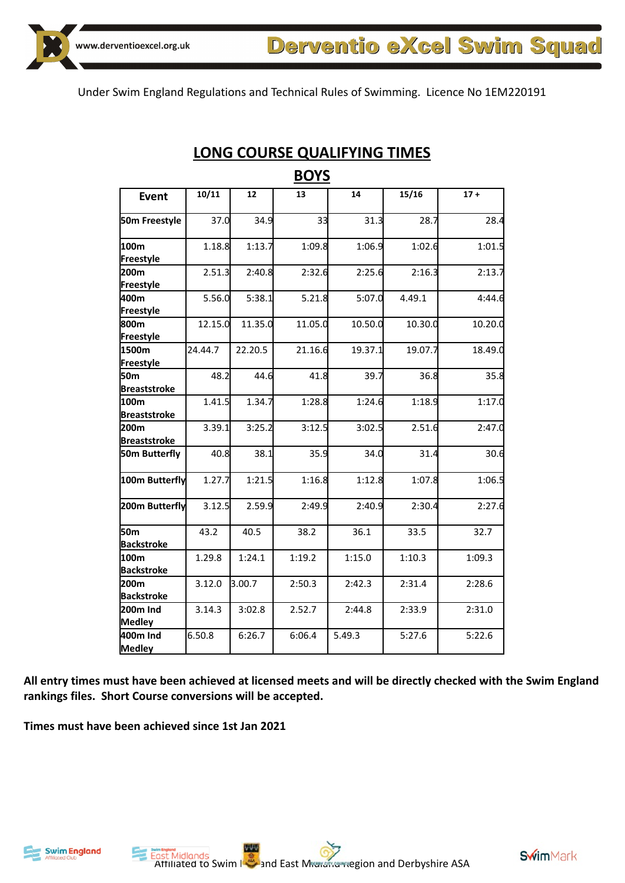

|                           |         |         | <b>BUIS</b> |         |         |         |
|---------------------------|---------|---------|-------------|---------|---------|---------|
| <b>Event</b>              | 10/11   | 12      | 13          | 14      | 15/16   | $17 +$  |
| 50m Freestyle             | 37.0    | 34.9    | 33          | 31.3    | 28.7    | 28.4    |
| 100m                      | 1.18.8  | 1:13.7  | 1:09.8      | 1:06.9  | 1:02.6  | 1:01.5  |
| Freestyle                 |         |         |             |         |         |         |
| 200m                      | 2.51.3  | 2:40.8  | 2:32.6      | 2:25.6  | 2:16.3  | 2:13.7  |
| Freestyle                 |         |         |             |         |         |         |
| 400m                      | 5.56.0  | 5:38.1  | 5.21.8      | 5:07.0  | 4.49.1  | 4:44.6  |
| Freestyle                 |         |         |             |         |         |         |
| 800m                      | 12.15.0 | 11.35.0 | 11.05.0     | 10.50.0 | 10.30.0 | 10.20.0 |
| Freestyle                 |         |         |             |         |         |         |
| 1500m                     | 24.44.7 | 22.20.5 | 21.16.6     | 19.37.1 | 19.07.7 | 18.49.0 |
| Freestyle                 |         |         |             |         |         |         |
| 50 <sub>m</sub>           | 48.2    | 44.6    | 41.8        | 39.7    | 36.8    | 35.8    |
| <b>Breaststroke</b>       |         |         |             |         |         |         |
| 100m                      | 1.41.5  | 1.34.7  | 1:28.8      | 1:24.6  | 1:18.9  | 1:17.0  |
| <b>Breaststroke</b>       |         |         |             |         |         |         |
| 200m                      | 3.39.1  | 3:25.2  | 3:12.5      | 3:02.5  | 2.51.6  | 2:47.0  |
| <b>Breaststroke</b>       |         |         |             |         |         |         |
| 50m Butterfly             | 40.8    | 38.1    | 35.9        | 34.0    | 31.4    | 30.6    |
| 100m Butterfly            | 1.27.7  | 1:21.5  | 1:16.8      | 1:12.8  | 1:07.8  | 1:06.5  |
| 200m Butterfly            | 3.12.5  | 2.59.9  | 2:49.9      | 2:40.9  | 2:30.4  | 2:27.6  |
| 50 <sub>m</sub>           | 43.2    | 40.5    | 38.2        | 36.1    | 33.5    | 32.7    |
| <b>Backstroke</b>         |         |         |             |         |         |         |
| 100m                      | 1.29.8  | 1:24.1  | 1:19.2      | 1:15.0  | 1:10.3  | 1:09.3  |
| <b>Backstroke</b>         |         |         |             |         |         |         |
| 200m<br><b>Backstroke</b> | 3.12.0  | 3.00.7  | 2:50.3      | 2:42.3  | 2:31.4  | 2:28.6  |
| 200m Ind                  | 3.14.3  | 3:02.8  | 2.52.7      | 2:44.8  | 2:33.9  | 2:31.0  |
| Medley                    |         |         |             |         |         |         |
| 400m Ind<br><b>Medley</b> | 6.50.8  | 6:26.7  | 6:06.4      | 5.49.3  | 5:27.6  | 5:22.6  |
|                           |         |         |             |         |         |         |

# **LONG COURSE QUALIFYING TIMES BOYS**

**All entry times must have been achieved at licensed meets and will be directly checked with the Swim England rankings files. Short Course conversions will be accepted.**

**Times must have been achieved since 1st Jan 2021**



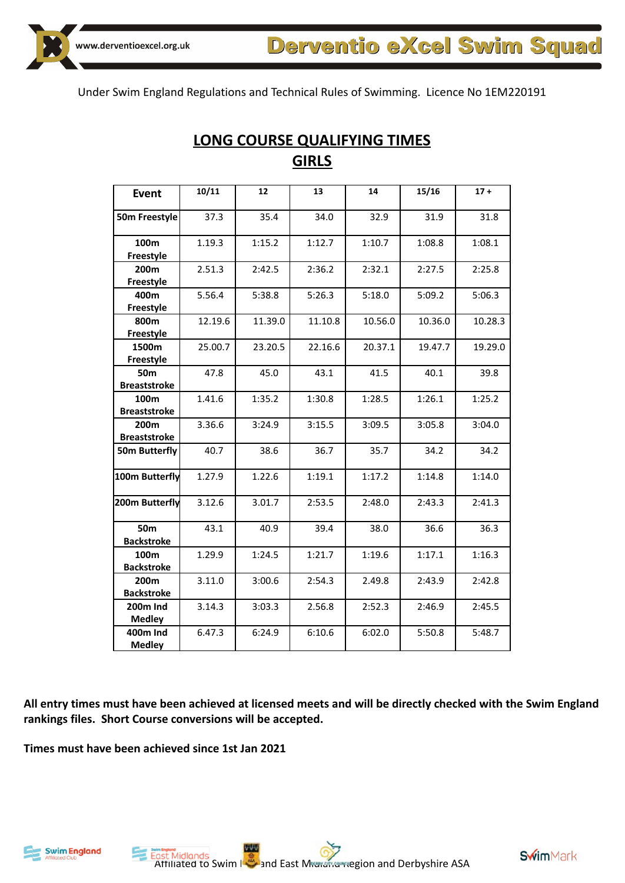| <b>Event</b>                            | 10/11   | 12      | 13      | 14      | 15/16   | $17 +$  |
|-----------------------------------------|---------|---------|---------|---------|---------|---------|
| 50m Freestyle                           | 37.3    | 35.4    | 34.0    | 32.9    | 31.9    | 31.8    |
| 100m<br>Freestyle                       | 1.19.3  | 1:15.2  | 1:12.7  | 1:10.7  | 1:08.8  | 1:08.1  |
| 200m<br>Freestyle                       | 2.51.3  | 2:42.5  | 2:36.2  | 2:32.1  | 2:27.5  | 2:25.8  |
| 400m<br>Freestyle                       | 5.56.4  | 5:38.8  | 5:26.3  | 5:18.0  | 5:09.2  | 5:06.3  |
| 800m<br><b>Freestyle</b>                | 12.19.6 | 11.39.0 | 11.10.8 | 10.56.0 | 10.36.0 | 10.28.3 |
| 1500m<br><b>Freestyle</b>               | 25.00.7 | 23.20.5 | 22.16.6 | 20.37.1 | 19.47.7 | 19.29.0 |
| 50 <sub>m</sub><br><b>Breaststroke</b>  | 47.8    | 45.0    | 43.1    | 41.5    | 40.1    | 39.8    |
| 100 <sub>m</sub><br><b>Breaststroke</b> | 1.41.6  | 1:35.2  | 1:30.8  | 1:28.5  | 1:26.1  | 1:25.2  |
| 200 <sub>m</sub><br><b>Breaststroke</b> | 3.36.6  | 3:24.9  | 3:15.5  | 3:09.5  | 3:05.8  | 3:04.0  |
| 50m Butterfly                           | 40.7    | 38.6    | 36.7    | 35.7    | 34.2    | 34.2    |
| 100m Butterfly                          | 1.27.9  | 1.22.6  | 1:19.1  | 1:17.2  | 1:14.8  | 1:14.0  |
| 200m Butterfly                          | 3.12.6  | 3.01.7  | 2:53.5  | 2:48.0  | 2:43.3  | 2:41.3  |
| 50 <sub>m</sub><br><b>Backstroke</b>    | 43.1    | 40.9    | 39.4    | 38.0    | 36.6    | 36.3    |
| 100m<br><b>Backstroke</b>               | 1.29.9  | 1:24.5  | 1:21.7  | 1:19.6  | 1:17.1  | 1:16.3  |
| 200m<br><b>Backstroke</b>               | 3.11.0  | 3:00.6  | 2:54.3  | 2.49.8  | 2:43.9  | 2:42.8  |
| <b>200m Ind</b><br><b>Medley</b>        | 3.14.3  | 3:03.3  | 2.56.8  | 2:52.3  | 2:46.9  | 2:45.5  |
| <b>400m Ind</b><br><b>Medley</b>        | 6.47.3  | 6:24.9  | 6:10.6  | 6:02.0  | 5:50.8  | 5:48.7  |

# **LONG COURSE QUALIFYING TIMES GIRLS**

**All entry times must have been achieved at licensed meets and will be directly checked with the Swim England rankings files. Short Course conversions will be accepted.**

**Times must have been achieved since 1st Jan 2021**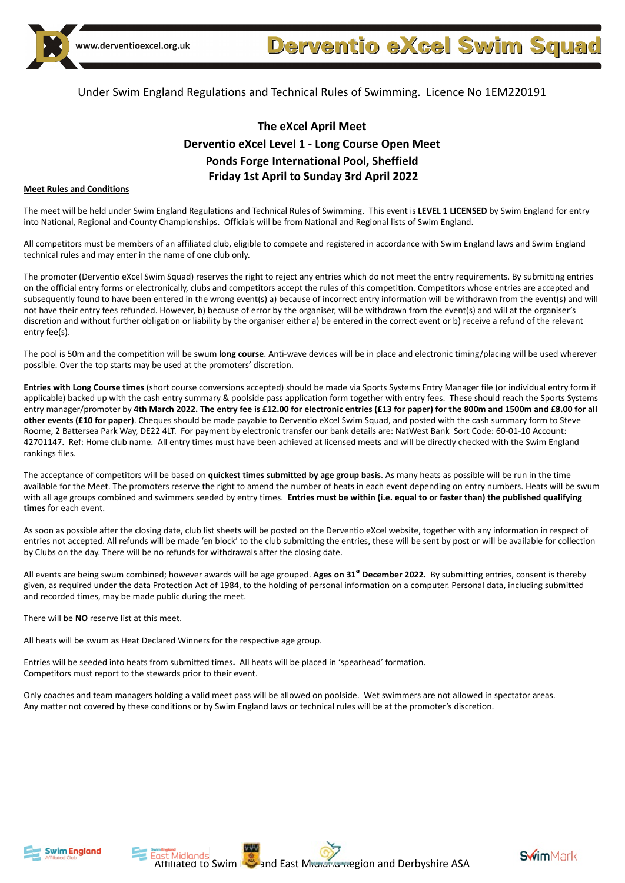

# **The eXcel April Meet Derventio eXcel Level 1 - Long Course Open Meet Ponds Forge International Pool, Sheffield Friday 1st April to Sunday 3rd April 2022**

#### **Meet Rules and Conditions**

The meet will be held under Swim England Regulations and Technical Rules of Swimming. This event is **LEVEL 1 LICENSED** by Swim England for entry into National, Regional and County Championships. Officials will be from National and Regional lists of Swim England.

All competitors must be members of an affiliated club, eligible to compete and registered in accordance with Swim England laws and Swim England technical rules and may enter in the name of one club only.

The promoter (Derventio eXcel Swim Squad) reserves the right to reject any entries which do not meet the entry requirements. By submitting entries on the official entry forms or electronically, clubs and competitors accept the rules of this competition. Competitors whose entries are accepted and subsequently found to have been entered in the wrong event(s) a) because of incorrect entry information will be withdrawn from the event(s) and will not have their entry fees refunded. However, b) because of error by the organiser, will be withdrawn from the event(s) and will at the organiser's discretion and without further obligation or liability by the organiser either a) be entered in the correct event or b) receive a refund of the relevant entry fee(s).

The pool is 50m and the competition will be swum **long course**. Anti-wave devices will be in place and electronic timing/placing will be used wherever possible. Over the top starts may be used at the promoters' discretion.

**Entries with Long Course times** (short course conversions accepted) should be made via Sports Systems Entry Manager file (or individual entry form if applicable) backed up with the cash entry summary & poolside pass application form together with entry fees. These should reach the Sports Systems entry manager/promoter by **4th March 2022. The entry fee is £12.00 for electronic entries (£13 for paper) for the 800m and 1500m and £8.00 for all other events (£10 for paper)**. Cheques should be made payable to Derventio eXcel Swim Squad, and posted with the cash summary form to Steve Roome, 2 Battersea Park Way, DE22 4LT. For payment by electronic transfer our bank details are: NatWest Bank Sort Code: 60-01-10 Account: 42701147. Ref: Home club name. All entry times must have been achieved at licensed meets and will be directly checked with the Swim England rankings files.

The acceptance of competitors will be based on **quickest times submitted by age group basis**. As many heats as possible will be run in the time available for the Meet. The promoters reserve the right to amend the number of heats in each event depending on entry numbers. Heats will be swum with all age groups combined and swimmers seeded by entry times. **Entries must be within (i.e. equal to or faster than) the published qualifying times** for each event.

As soon as possible after the closing date, club list sheets will be posted on the Derventio eXcel website, together with any information in respect of entries not accepted. All refunds will be made 'en block' to the club submitting the entries, these will be sent by post or will be available for collection by Clubs on the day. There will be no refunds for withdrawals after the closing date.

All events are being swum combined; however awards will be age grouped. **Ages on 31st December 2022.** By submitting entries, consent is thereby given, as required under the data Protection Act of 1984, to the holding of personal information on a computer. Personal data, including submitted and recorded times, may be made public during the meet.

There will be **NO** reserve list at this meet.

All heats will be swum as Heat Declared Winners for the respective age group.

Entries will be seeded into heats from submitted times**.** All heats will be placed in 'spearhead' formation. Competitors must report to the stewards prior to their event.

Only coaches and team managers holding a valid meet pass will be allowed on poolside. Wet swimmers are not allowed in spectator areas. Any matter not covered by these conditions or by Swim England laws or technical rules will be at the promoter's discretion.





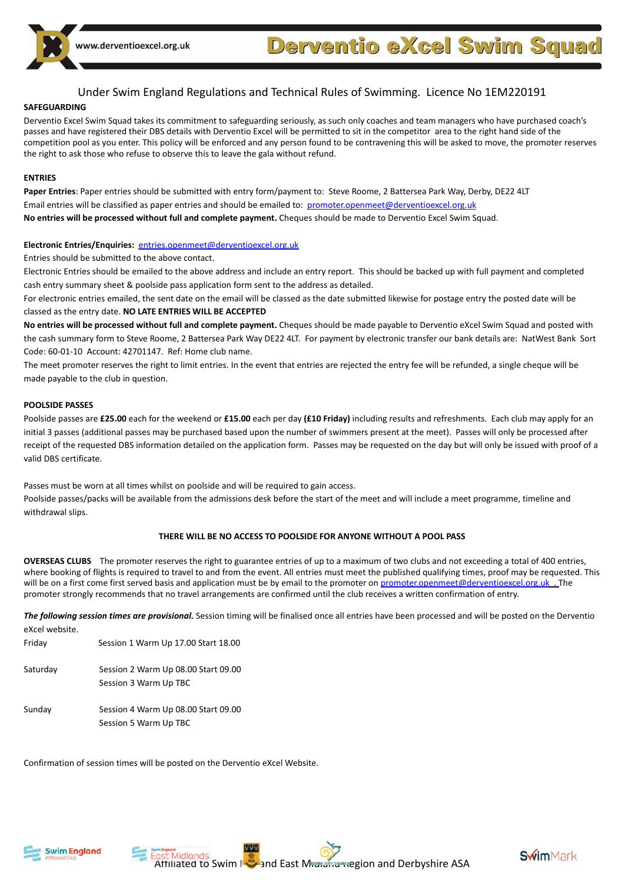#### **SAFEGUARDING**

Derventio Excel Swim Squad takes its commitment to safeguarding seriously, as such only coaches and team managers who have purchased coach's passes and have registered their DBS details with Derventio Excel will be permitted to sit in the competitor area to the right hand side of the competition pool as you enter. This policy will be enforced and any person found to be contravening this will be asked to move, the promoter reserves the right to ask those who refuse to observe this to leave the gala without refund.

#### **ENTRIES**

**Paper Entries**: Paper entries should be submitted with entry form/payment to: Steve Roome, 2 Battersea Park Way, Derby, DE22 4LT Email entries will be classified as paper entries and should be emailed to: [promoter.openmeet@derventioexcel.org.uk](mailto:promoter.openmeet@derventioexcel.org.uk) **No entries will be processed without full and complete payment.** Cheques should be made to Derventio Excel Swim Squad.

#### **Electronic Entries/Enquiries:** [entries.openmeet@derventioexcel.org.uk](mailto:entries.openmeet@derventioexcel.org.uk)

Entries should be submitted to the above contact.

Electronic Entries should be emailed to the above address and include an entry report. This should be backed up with full payment and completed cash entry summary sheet & poolside pass application form sent to the address as detailed.

For electronic entries emailed, the sent date on the email will be classed as the date submitted likewise for postage entry the posted date will be classed as the entry date. **NO LATE ENTRIES WILL BE ACCEPTED**

**No entries will be processed without full and complete payment.** Cheques should be made payable to Derventio eXcel Swim Squad and posted with the cash summary form to Steve Roome, 2 Battersea Park Way DE22 4LT. For payment by electronic transfer our bank details are: NatWest Bank Sort Code: 60-01-10 Account: 42701147. Ref: Home club name.

The meet promoter reserves the right to limit entries. In the event that entries are rejected the entry fee will be refunded, a single cheque will be made payable to the club in question.

#### **POOLSIDE PASSES**

Poolside passes are **£25.00** each for the weekend or **£15.00** each per day **(£10 Friday)** including results and refreshments. Each club may apply for an initial 3 passes (additional passes may be purchased based upon the number of swimmers present at the meet). Passes will only be processed after receipt of the requested DBS information detailed on the application form. Passes may be requested on the day but will only be issued with proof of a valid DBS certificate.

Passes must be worn at all times whilst on poolside and will be required to gain access. Poolside passes/packs will be available from the admissions desk before the start of the meet and will include a meet programme, timeline and withdrawal slips.

#### **THERE WILL BE NO ACCESS TO POOLSIDE FOR ANYONE WITHOUT A POOL PASS**

**OVERSEAS CLUBS** The promoter reserves the right to guarantee entries of up to a maximum of two clubs and not exceeding a total of 400 entries, where booking of flights is required to travel to and from the event. All entries must meet the published qualifying times, proof may be requested. This will be on a first come first served basis and application must be by email to the promoter on [promoter.openmeet@derventioexcel.org.uk](mailto:promoter.openmeet@derventioexcel.org.uk). The promoter strongly recommends that no travel arrangements are confirmed until the club receives a written confirmation of entry.

*The following session times are provisional.* Session timing will be finalised once all entries have been processed and will be posted on the Derventio eXcel website.

| CVCCI MCNOILC. |                                                              |
|----------------|--------------------------------------------------------------|
| Friday         | Session 1 Warm Up 17.00 Start 18.00                          |
| Saturday       | Session 2 Warm Up 08.00 Start 09.00<br>Session 3 Warm Up TBC |
| Sunday         | Session 4 Warm Up 08.00 Start 09.00                          |
|                | Session 5 Warm Up TBC                                        |

Confirmation of session times will be posted on the Derventio eXcel Website.





**Swim**Mark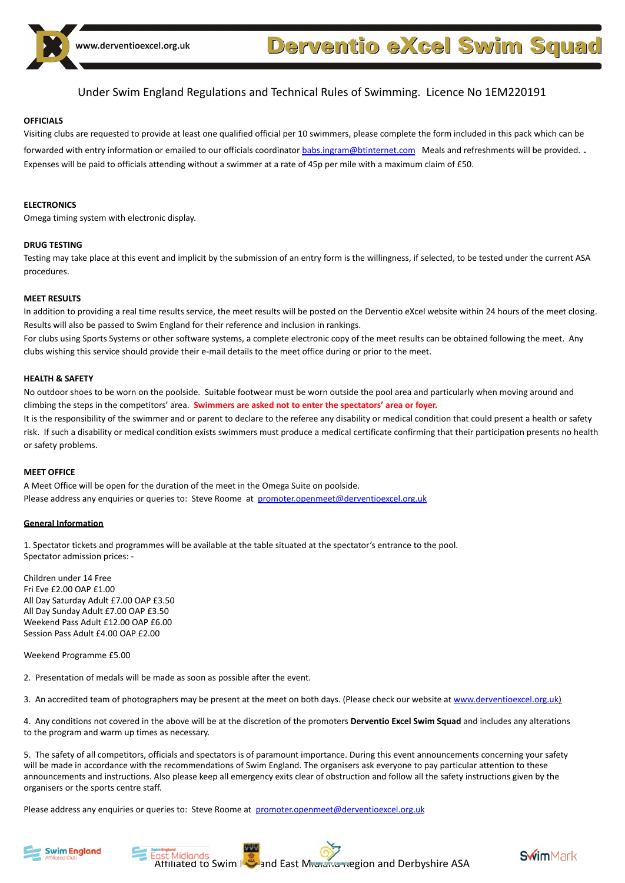

#### **OFFICIALS**

Visiting clubs are requested to provide at least one qualified official per 10 swimmers, please complete the form included in this pack which can be forwarded with entry information or emailed to our officials coordinator [babs.ingram@btinternet.com](mailto:babs.ingram@btinternet.com) Meals and refreshments will be provided. . Expenses will be paid to officials attending without a swimmer at a rate of 45p per mile with a maximum claim of £50.

#### **ELECTRONICS**

Omega timing system with electronic display.

#### **DRUG TESTING**

Testing may take place at this event and implicit by the submission of an entry form is the willingness, if selected, to be tested under the current ASA procedures.

#### **MEET RESULTS**

In addition to providing a real time results service, the meet results will be posted on the Derventio eXcel website within 24 hours of the meet closing. Results will also be passed to Swim England for their reference and inclusion in rankings.

For clubs using Sports Systems or other software systems, a complete electronic copy of the meet results can be obtained following the meet. Any clubs wishing this service should provide their e-mail details to the meet office during or prior to the meet.

#### **HEALTH & SAFETY**

No outdoor shoes to be worn on the poolside. Suitable footwear must be worn outside the pool area and particularly when moving around and climbing the steps in the competitors' area. **Swimmers are asked not to enter the spectators' area or foyer.** It is the responsibility of the swimmer and or parent to declare to the referee any disability or medical condition that could present a health or safety

risk. If such a disability or medical condition exists swimmers must produce a medical certificate confirming that their participation presents no health or safety problems.

#### **MEET OFFICE**

A Meet Office will be open for the duration of the meet in the Omega Suite on poolside. Please address any enquiries or queries to: Steve Roome at promoter.openmeet@derventioexcel.org.uk

#### **General Information**

1. Spectator tickets and programmes will be available at the table situated at the spectator's entrance to the pool. Spectator admission prices: -

Children under 14 Free Fri Eve £2.00 OAP £1.00 All Day Saturday Adult £7.00 OAP £3.50 All Day Sunday Adult £7.00 OAP £3.50 Weekend Pass Adult £12.00 OAP £6.00 Session Pass Adult £4.00 OAP £2.00

Weekend Programme £5.00

2. Presentation of medals will be made as soon as possible after the event.

3. An accredited team of photographers may be present at the meet on both days. (Please check our website at [www.derventioexcel.org.uk\)](http://www.derventioexcel.org.uk)

4. Any conditions not covered in the above will be at the discretion of the promoters **Derventio Excel Swim Squad** and includes any alterations to the program and warm up times as necessary.

5. The safety of all competitors, officials and spectators is of paramount importance. During this event announcements concerning your safety will be made in accordance with the recommendations of Swim England. The organisers ask everyone to pay particular attention to these announcements and instructions. Also please keep all emergency exits clear of obstruction and follow all the safety instructions given by the organisers or the sports centre staff.

Please address any enquiries or queries to: Steve Roome at [promoter.openmeet@derventioexcel.org.uk](mailto:promoter.openmeet@derventioexcel.org.uk)